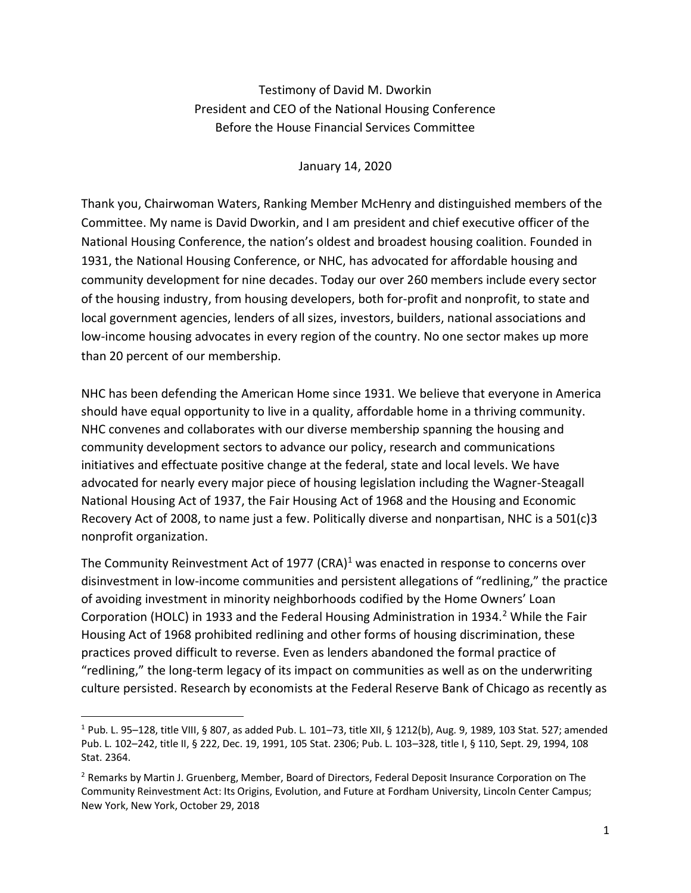Testimony of David M. Dworkin President and CEO of the National Housing Conference Before the House Financial Services Committee

January 14, 2020

Thank you, Chairwoman Waters, Ranking Member McHenry and distinguished members of the Committee. My name is David Dworkin, and I am president and chief executive officer of the National Housing Conference, the nation's oldest and broadest housing coalition. Founded in 1931, the National Housing Conference, or NHC, has advocated for affordable housing and community development for nine decades. Today our over 260 members include every sector of the housing industry, from housing developers, both for-profit and nonprofit, to state and local government agencies, lenders of all sizes, investors, builders, national associations and low-income housing advocates in every region of the country. No one sector makes up more than 20 percent of our membership.

NHC has been defending the American Home since 1931. We believe that everyone in America should have equal opportunity to live in a quality, affordable home in a thriving community. NHC convenes and collaborates with our diverse membership spanning the housing and community development sectors to advance our policy, research and communications initiatives and effectuate positive change at the federal, state and local levels. We have advocated for nearly every major piece of housing legislation including the Wagner-Steagall National Housing Act of 1937, the Fair Housing Act of 1968 and the Housing and Economic Recovery Act of 2008, to name just a few. Politically diverse and nonpartisan, NHC is a 501(c)3 nonprofit organization.

The Community Reinvestment Act of 1977 (CRA)<sup>1</sup> was enacted in response to concerns over disinvestment in low-income communities and persistent allegations of "redlining," the practice of avoiding investment in minority neighborhoods codified by the Home Owners' Loan Corporation (HOLC) in 1933 and the Federal Housing Administration in 1934.<sup>2</sup> While the Fair Housing Act of 1968 prohibited redlining and other forms of housing discrimination, these practices proved difficult to reverse. Even as lenders abandoned the formal practice of "redlining," the long-term legacy of its impact on communities as well as on the underwriting culture persisted. Research by economists at the Federal Reserve Bank of Chicago as recently as

 $\overline{\phantom{a}}$ 

<sup>1</sup> Pub. L. 95–128, title VIII, § 807, as added Pub. L. 101–73, title XII, § 1212(b), Aug. 9, 1989, 103 Stat. 527; amended Pub. L. 102–242, title II, § 222, Dec. 19, 1991, 105 Stat. 2306; Pub. L. 103–328, title I, § 110, Sept. 29, 1994, 108 Stat. 2364.

<sup>&</sup>lt;sup>2</sup> Remarks by Martin J. Gruenberg, Member, Board of Directors, Federal Deposit Insurance Corporation on The Community Reinvestment Act: Its Origins, Evolution, and Future at Fordham University, Lincoln Center Campus; New York, New York, October 29, 2018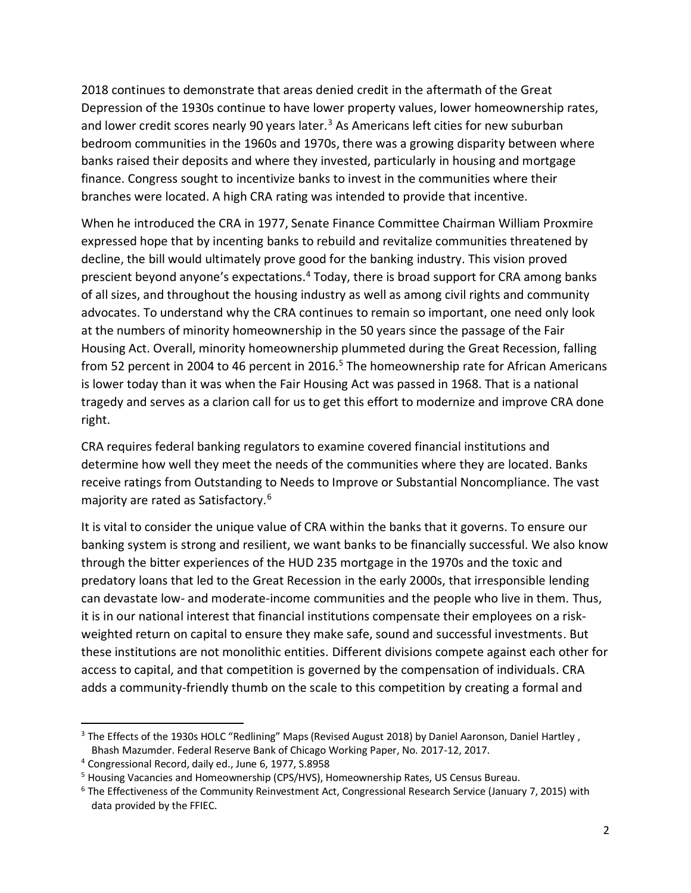2018 continues to demonstrate that areas denied credit in the aftermath of the Great Depression of the 1930s continue to have lower property values, lower homeownership rates, and lower credit scores nearly 90 years later.<sup>3</sup> As Americans left cities for new suburban bedroom communities in the 1960s and 1970s, there was a growing disparity between where banks raised their deposits and where they invested, particularly in housing and mortgage finance. Congress sought to incentivize banks to invest in the communities where their branches were located. A high CRA rating was intended to provide that incentive.

When he introduced the CRA in 1977, Senate Finance Committee Chairman William Proxmire expressed hope that by incenting banks to rebuild and revitalize communities threatened by decline, the bill would ultimately prove good for the banking industry. This vision proved prescient beyond anyone's expectations.<sup>4</sup> Today, there is broad support for CRA among banks of all sizes, and throughout the housing industry as well as among civil rights and community advocates. To understand why the CRA continues to remain so important, one need only look at the numbers of minority homeownership in the 50 years since the passage of the Fair Housing Act. Overall, minority homeownership plummeted during the Great Recession, falling from 52 percent in 2004 to 46 percent in 2016.<sup>5</sup> The homeownership rate for African Americans is lower today than it was when the Fair Housing Act was passed in 1968. That is a national tragedy and serves as a clarion call for us to get this effort to modernize and improve CRA done right.

CRA requires federal banking regulators to examine covered financial institutions and determine how well they meet the needs of the communities where they are located. Banks receive ratings from Outstanding to Needs to Improve or Substantial Noncompliance. The vast majority are rated as Satisfactory.<sup>6</sup>

It is vital to consider the unique value of CRA within the banks that it governs. To ensure our banking system is strong and resilient, we want banks to be financially successful. We also know through the bitter experiences of the HUD 235 mortgage in the 1970s and the toxic and predatory loans that led to the Great Recession in the early 2000s, that irresponsible lending can devastate low- and moderate-income communities and the people who live in them. Thus, it is in our national interest that financial institutions compensate their employees on a riskweighted return on capital to ensure they make safe, sound and successful investments. But these institutions are not monolithic entities. Different divisions compete against each other for access to capital, and that competition is governed by the compensation of individuals. CRA adds a community-friendly thumb on the scale to this competition by creating a formal and

 $\overline{\phantom{a}}$ 

<sup>&</sup>lt;sup>3</sup> The Effects of the 1930s HOLC "Redlining" Maps (Revised August 2018) by Daniel Aaronson, Daniel Hartley, Bhash Mazumder. Federal Reserve Bank of Chicago Working Paper, No. 2017-12, 2017.

<sup>4</sup> Congressional Record, daily ed., June 6, 1977, S.8958

<sup>5</sup> Housing Vacancies and Homeownership (CPS/HVS), Homeownership Rates, US Census Bureau.

<sup>6</sup> The Effectiveness of the Community Reinvestment Act, Congressional Research Service (January 7, 2015) with data provided by the FFIEC.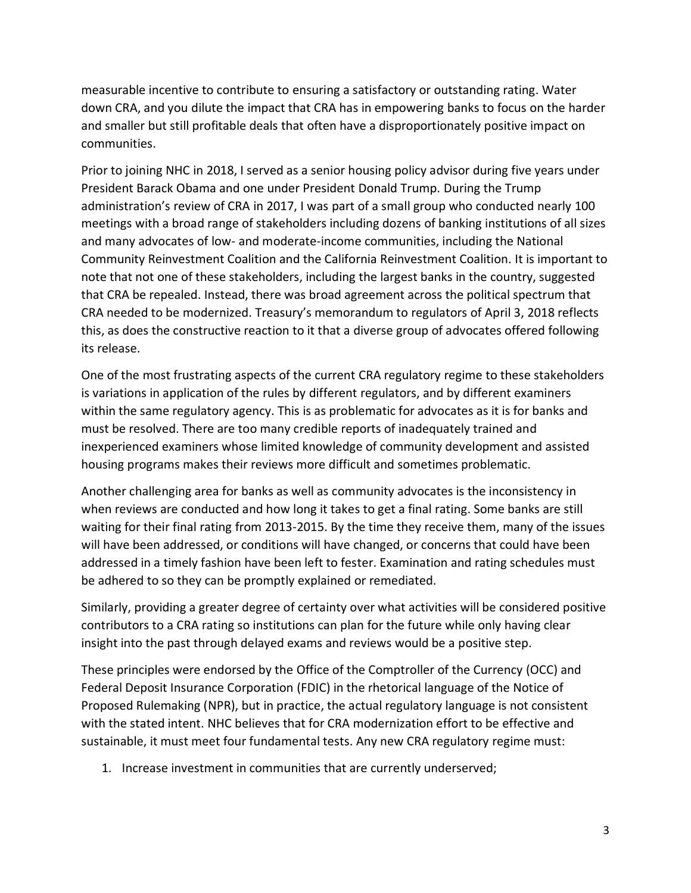measurable incentive to contribute to ensuring a satisfactory or outstanding rating. Water down CRA, and you dilute the impact that CRA has in empowering banks to focus on the harder and smaller but still profitable deals that often have a disproportionately positive impact on communities.

Prior to joining NHC in 2018, I served as a senior housing policy advisor during five years under President Barack Obama and one under President Donald Trump. During the Trump administration's review of CRA in 2017, I was part of a small group who conducted nearly 100 meetings with a broad range of stakeholders including dozens of banking institutions of all sizes and many advocates of low- and moderate-income communities, including the National Community Reinvestment Coalition and the California Reinvestment Coalition. It is important to note that not one of these stakeholders, including the largest banks in the country, suggested that CRA be repealed. Instead, there was broad agreement across the political spectrum that CRA needed to be modernized. Treasury's memorandum to regulators of April 3, 2018 reflects this, as does the constructive reaction to it that a diverse group of advocates offered following its release.

One of the most frustrating aspects of the current CRA regulatory regime to these stakeholders is variations in application of the rules by different regulators, and by different examiners within the same regulatory agency. This is as problematic for advocates as it is for banks and must be resolved. There are too many credible reports of inadequately trained and inexperienced examiners whose limited knowledge of community development and assisted housing programs makes their reviews more difficult and sometimes problematic.

Another challenging area for banks as well as community advocates is the inconsistency in when reviews are conducted and how long it takes to get a final rating. Some banks are still waiting for their final rating from 2013-2015. By the time they receive them, many of the issues will have been addressed, or conditions will have changed, or concerns that could have been addressed in a timely fashion have been left to fester. Examination and rating schedules must be adhered to so they can be promptly explained or remediated.

Similarly, providing a greater degree of certainty over what activities will be considered positive contributors to a CRA rating so institutions can plan for the future while only having clear insight into the past through delayed exams and reviews would be a positive step.

These principles were endorsed by the Office of the Comptroller of the Currency (OCC) and Federal Deposit Insurance Corporation (FDIC) in the rhetorical language of the Notice of Proposed Rulemaking (NPR), but in practice, the actual regulatory language is not consistent with the stated intent. NHC believes that for CRA modernization effort to be effective and sustainable, it must meet four fundamental tests. Any new CRA regulatory regime must:

1. Increase investment in communities that are currently underserved;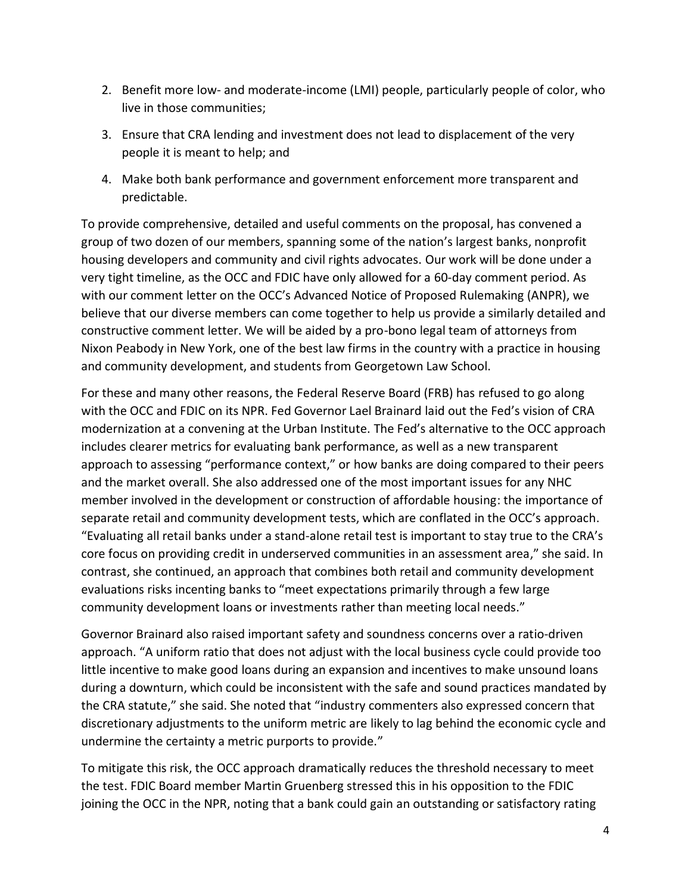- 2. Benefit more low- and moderate-income (LMI) people, particularly people of color, who live in those communities;
- 3. Ensure that CRA lending and investment does not lead to displacement of the very people it is meant to help; and
- 4. Make both bank performance and government enforcement more transparent and predictable.

To provide comprehensive, detailed and useful comments on the proposal, has convened a group of two dozen of our members, spanning some of the nation's largest banks, nonprofit housing developers and community and civil rights advocates. Our work will be done under a very tight timeline, as the OCC and FDIC have only allowed for a 60-day comment period. As with our comment letter on the OCC's Advanced Notice of Proposed Rulemaking (ANPR), we believe that our diverse members can come together to help us provide a similarly detailed and constructive comment letter. We will be aided by a pro-bono legal team of attorneys from Nixon Peabody in New York, one of the best law firms in the country with a practice in housing and community development, and students from Georgetown Law School.

For these and many other reasons, the Federal Reserve Board (FRB) has refused to go along with the OCC and FDIC on its NPR. Fed Governor Lael Brainard laid out the Fed's vision of CRA modernization at a convening at the Urban Institute. The Fed's alternative to the OCC approach includes clearer metrics for evaluating bank performance, as well as a new transparent approach to assessing "performance context," or how banks are doing compared to their peers and the market overall. She also addressed one of the most important issues for any NHC member involved in the development or construction of affordable housing: the importance of separate retail and community development tests, which are conflated in the OCC's approach. "Evaluating all retail banks under a stand-alone retail test is important to stay true to the CRA's core focus on providing credit in underserved communities in an assessment area," she said. In contrast, she continued, an approach that combines both retail and community development evaluations risks incenting banks to "meet expectations primarily through a few large community development loans or investments rather than meeting local needs."

Governor Brainard also raised important safety and soundness concerns over a ratio-driven approach. "A uniform ratio that does not adjust with the local business cycle could provide too little incentive to make good loans during an expansion and incentives to make unsound loans during a downturn, which could be inconsistent with the safe and sound practices mandated by the CRA statute," she said. She noted that "industry commenters also expressed concern that discretionary adjustments to the uniform metric are likely to lag behind the economic cycle and undermine the certainty a metric purports to provide."

To mitigate this risk, the OCC approach dramatically reduces the threshold necessary to meet the test. FDIC Board member Martin Gruenberg stressed this in his opposition to the FDIC joining the OCC in the NPR, noting that a bank could gain an outstanding or satisfactory rating